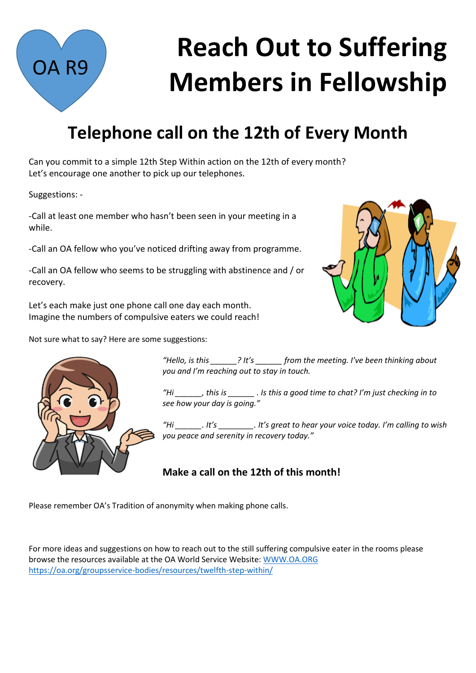

## **Telephone call on the 12th of Every Month**

Can you commit to a simple 12th Step Within action on the 12th of every month? Let's encourage one another to pick up our telephones.

Suggestions: -

OA R9

-Call at least one member who hasn't been seen in your meeting in a while.

-Call an OA fellow who you've noticed drifting away from programme.

-Call an OA fellow who seems to be struggling with abstinence and / or recovery.

Let's each make just one phone call one day each month. Imagine the numbers of compulsive eaters we could reach!

Not sure what to say? Here are some suggestions:





*"Hello, is this \_\_\_\_\_\_? It's \_\_\_\_\_\_ from the meeting. I've been thinking about you and I'm reaching out to stay in touch.* 

*"Hi \_\_\_\_\_\_, this is \_\_\_\_\_\_ . Is this a good time to chat? I'm just checking in to see how your day is going."* 

*"Hi \_\_\_\_\_\_. It's \_\_\_\_\_\_\_\_. It's great to hear your voice today. I'm calling to wish you peace and serenity in recovery today."* 

**Make a call on the 12th of this month!** 

Please remember OA's Tradition of anonymity when making phone calls.

For more ideas and suggestions on how to reach out to the still suffering compulsive eater in the rooms please browse the resources available at the OA World Service Website: [WWW.OA.ORG](http://www.oa.org/) <https://oa.org/groupsservice-bodies/resources/twelfth-step-within/>